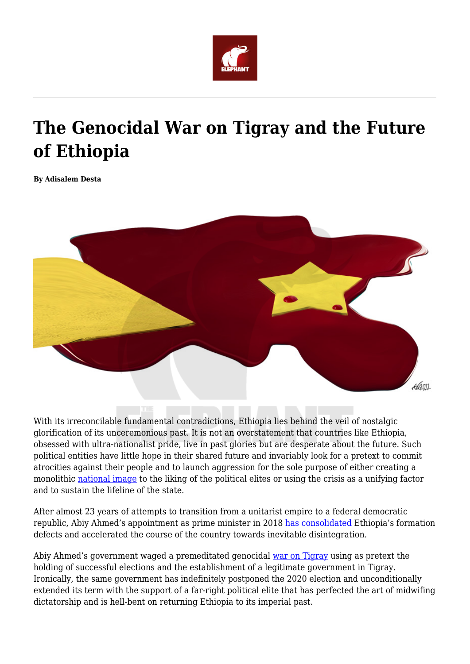

## **The Genocidal War on Tigray and the Future of Ethiopia**

**By Adisalem Desta**



With its irreconcilable fundamental contradictions, Ethiopia lies behind the veil of nostalgic glorification of its unceremonious past. It is not an overstatement that countries like Ethiopia, obsessed with ultra-nationalist pride, live in past glories but are desperate about the future. Such political entities have little hope in their shared future and invariably look for a pretext to commit atrocities against their people and to launch aggression for the sole purpose of either creating a monolithic [national image](https://www.mcgill.ca/humanrights/article/inclusive-citizenship-and-deliberative-democracy/pitfalls-ethiopian-elites-war-narratives-part-ii) to the liking of the political elites or using the crisis as a unifying factor and to sustain the lifeline of the state.

After almost 23 years of attempts to transition from a unitarist empire to a federal democratic republic, Abiy Ahmed's appointment as prime minister in 2018 [has consolidated](https://nationalinterest.org/feature/abiy-ahmed-and-consolidation-ethiopia%E2%80%99s-dictatorship-175870) Ethiopia's formation defects and accelerated the course of the country towards inevitable disintegration.

Abiy Ahmed's government waged a premeditated genocidal [war on Tigray](https://nationalinterest.org/feature/abiy-ahmed-and-consolidation-ethiopia%E2%80%99s-dictatorship-175870) using as pretext the holding of successful elections and the establishment of a legitimate government in Tigray. Ironically, the same government has indefinitely postponed the 2020 election and unconditionally extended its term with the support of a far-right political elite that has perfected the art of midwifing dictatorship and is hell-bent on returning Ethiopia to its imperial past.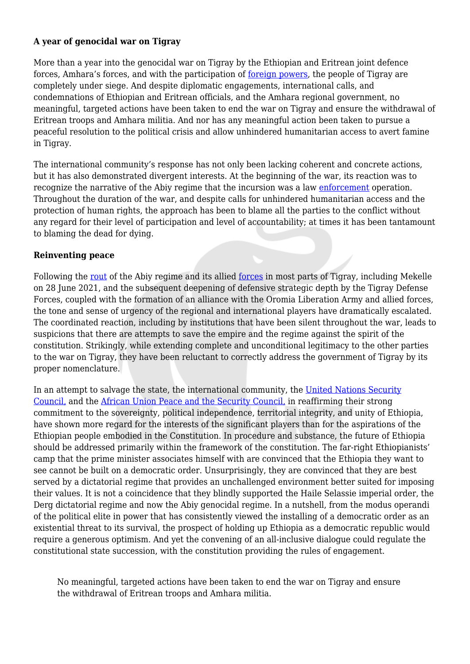## **A year of genocidal war on Tigray**

More than a year into the genocidal war on Tigray by the Ethiopian and Eritrean joint defence forces, Amhara's forces, and with the participation of [foreign powers,](https://www.dw.com/en/fact-check-are-other-nations-involved-in-the-war-in-tigray/a-56891431) the people of Tigray are completely under siege. And despite diplomatic engagements, international calls, and condemnations of Ethiopian and Eritrean officials, and the Amhara regional government, no meaningful, targeted actions have been taken to end the war on Tigray and ensure the withdrawal of Eritrean troops and Amhara militia. And nor has any meaningful action been taken to pursue a peaceful resolution to the political crisis and allow unhindered humanitarian access to avert famine in Tigray.

The international community's response has not only been lacking coherent and concrete actions, but it has also demonstrated divergent interests. At the beginning of the war, its reaction was to recognize the narrative of the Abiy regime that the incursion was a law [enforcement](https://www.ft.com/content/f71fd04f-cf55-44e1-b20a-3c2830820566) operation. Throughout the duration of the war, and despite calls for unhindered humanitarian access and the protection of human rights, the approach has been to blame all the parties to the conflict without any regard for their level of participation and level of accountability; at times it has been tantamount to blaming the dead for dying.

## **Reinventing peace**

Following the [rout](https://www.economist.com/middle-east-and-africa/2021/07/01/tigrayan-forces-have-routed-the-ethiopian-army) of the Abiy regime and its allied [forces](https://www.nytimes.com/2021/07/02/world/africa/tigray-ethiopia-soldiers-captured.html) in most parts of Tigray, including Mekelle on 28 June 2021, and the subsequent deepening of defensive strategic depth by the Tigray Defense Forces, coupled with the formation of an alliance with the Oromia Liberation Army and allied forces, the tone and sense of urgency of the regional and international players have dramatically escalated. The coordinated reaction, including by institutions that have been silent throughout the war, leads to suspicions that there are attempts to save the empire and the regime against the spirit of the constitution. Strikingly, while extending complete and unconditional legitimacy to the other parties to the war on Tigray, they have been reluctant to correctly address the government of Tigray by its proper nomenclature.

In an attempt to salvage the state, the international community, the [United Nations Security](https://www.un.org/press/en/2021/sc14693.doc.htm) [Council,](https://www.un.org/press/en/2021/sc14693.doc.htm) and the [African Union Peace and the Security Council,](https://www.peaceau.org/uploads/eng-communique-1045th-psc-meeting-on-ethiopia-8-nov-2021.pdf) in reaffirming their strong commitment to the sovereignty, political independence, territorial integrity, and unity of Ethiopia, have shown more regard for the interests of the significant players than for the aspirations of the Ethiopian people embodied in the Constitution. In procedure and substance, the future of Ethiopia should be addressed primarily within the framework of the constitution. The far-right Ethiopianists' camp that the prime minister associates himself with are convinced that the Ethiopia they want to see cannot be built on a democratic order. Unsurprisingly, they are convinced that they are best served by a dictatorial regime that provides an unchallenged environment better suited for imposing their values. It is not a coincidence that they blindly supported the Haile Selassie imperial order, the Derg dictatorial regime and now the Abiy genocidal regime. In a nutshell, from the modus operandi of the political elite in power that has consistently viewed the installing of a democratic order as an existential threat to its survival, the prospect of holding up Ethiopia as a democratic republic would require a generous optimism. And yet the convening of an all-inclusive dialogue could regulate the constitutional state succession, with the constitution providing the rules of engagement.

No meaningful, targeted actions have been taken to end the war on Tigray and ensure the withdrawal of Eritrean troops and Amhara militia.